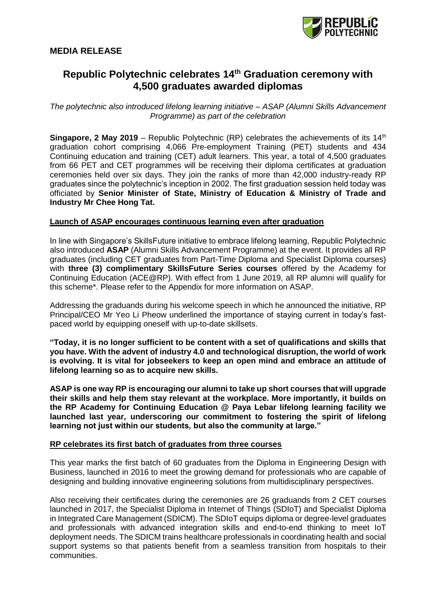

# **Republic Polytechnic celebrates 14th Graduation ceremony with 4,500 graduates awarded diplomas**

*The polytechnic also introduced lifelong learning initiative – ASAP (Alumni Skills Advancement Programme) as part of the celebration*

**Singapore, 2 May 2019** – Republic Polytechnic (RP) celebrates the achievements of its 14<sup>th</sup> graduation cohort comprising 4,066 Pre-employment Training (PET) students and 434 Continuing education and training (CET) adult learners. This year, a total of 4,500 graduates from 66 PET and CET programmes will be receiving their diploma certificates at graduation ceremonies held over six days. They join the ranks of more than 42,000 industry-ready RP graduates since the polytechnic's inception in 2002. The first graduation session held today was officiated by **Senior Minister of State, Ministry of Education & Ministry of Trade and Industry Mr Chee Hong Tat.** 

### **Launch of ASAP encourages continuous learning even after graduation**

In line with Singapore's SkillsFuture initiative to embrace lifelong learning, Republic Polytechnic also introduced **ASAP** (Alumni Skills Advancement Programme) at the event. It provides all RP graduates (including CET graduates from Part-Time Diploma and Specialist Diploma courses) with **three (3) complimentary SkillsFuture Series courses** offered by the Academy for Continuing Education (ACE@RP). With effect from 1 June 2019, all RP alumni will qualify for this scheme\*. Please refer to the Appendix for more information on ASAP.

Addressing the graduands during his welcome speech in which he announced the initiative, RP Principal/CEO Mr Yeo Li Pheow underlined the importance of staying current in today's fastpaced world by equipping oneself with up-to-date skillsets.

**"Today, it is no longer sufficient to be content with a set of qualifications and skills that you have. With the advent of industry 4.0 and technological disruption, the world of work is evolving. It is vital for jobseekers to keep an open mind and embrace an attitude of lifelong learning so as to acquire new skills.**

**ASAP is one way RP is encouraging our alumni to take up short courses that will upgrade their skills and help them stay relevant at the workplace. More importantly, it builds on the RP Academy for Continuing Education @ Paya Lebar lifelong learning facility we launched last year, underscoring our commitment to fostering the spirit of lifelong learning not just within our students, but also the community at large."**

## **RP celebrates its first batch of graduates from three courses**

This year marks the first batch of 60 graduates from the Diploma in Engineering Design with Business, launched in 2016 to meet the growing demand for professionals who are capable of designing and building innovative engineering solutions from multidisciplinary perspectives.

Also receiving their certificates during the ceremonies are 26 graduands from 2 CET courses launched in 2017, the Specialist Diploma in Internet of Things (SDIoT) and Specialist Diploma in Integrated Care Management (SDICM). The SDIoT equips diploma or degree-level graduates and professionals with advanced integration skills and end-to-end thinking to meet IoT deployment needs. The SDICM trains healthcare professionals in coordinating health and social support systems so that patients benefit from a seamless transition from hospitals to their communities.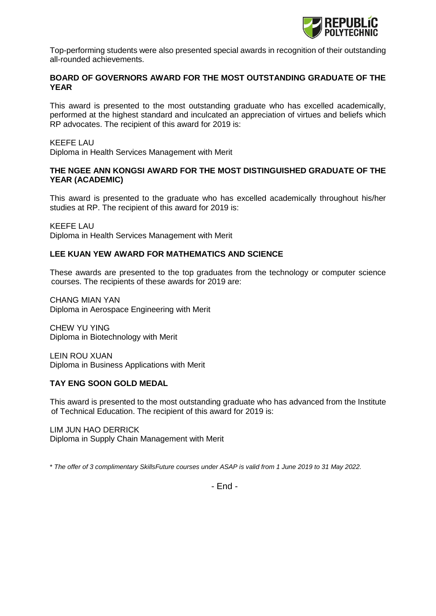

Top-performing students were also presented special awards in recognition of their outstanding all-rounded achievements.

## **BOARD OF GOVERNORS AWARD FOR THE MOST OUTSTANDING GRADUATE OF THE YEAR**

This award is presented to the most outstanding graduate who has excelled academically, performed at the highest standard and inculcated an appreciation of virtues and beliefs which RP advocates. The recipient of this award for 2019 is:

#### KEEFE LAU

Diploma in Health Services Management with Merit

## **THE NGEE ANN KONGSI AWARD FOR THE MOST DISTINGUISHED GRADUATE OF THE YEAR (ACADEMIC)**

This award is presented to the graduate who has excelled academically throughout his/her studies at RP. The recipient of this award for 2019 is:

KEEFE LAU Diploma in Health Services Management with Merit

## **LEE KUAN YEW AWARD FOR MATHEMATICS AND SCIENCE**

These awards are presented to the top graduates from the technology or computer science courses. The recipients of these awards for 2019 are:

CHANG MIAN YAN Diploma in Aerospace Engineering with Merit

CHEW YU YING Diploma in Biotechnology with Merit

LEIN ROU XUAN Diploma in Business Applications with Merit

## **TAY ENG SOON GOLD MEDAL**

This award is presented to the most outstanding graduate who has advanced from the Institute of Technical Education. The recipient of this award for 2019 is:

LIM JUN HAO DERRICK Diploma in Supply Chain Management with Merit

\* *The offer of 3 complimentary SkillsFuture courses under ASAP is valid from 1 June 2019 to 31 May 2022.*

- End -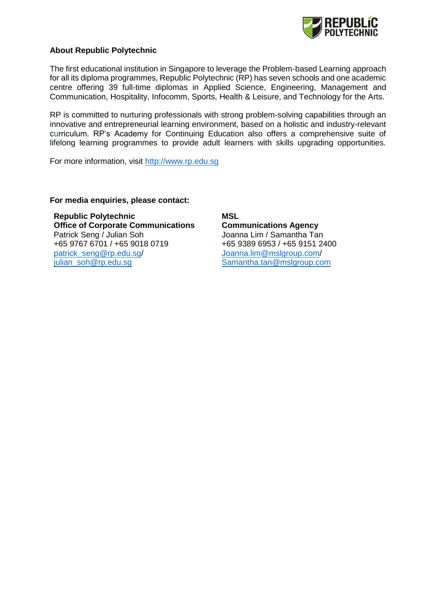

## **About Republic Polytechnic**

The first educational institution in Singapore to leverage the Problem-based Learning approach for all its diploma programmes, Republic Polytechnic (RP) has seven schools and one academic centre offering 39 full-time diplomas in Applied Science, Engineering, Management and Communication, Hospitality, Infocomm, Sports, Health & Leisure, and Technology for the Arts.

RP is committed to nurturing professionals with strong problem-solving capabilities through an innovative and entrepreneurial learning environment, based on a holistic and industry-relevant curriculum. RP's Academy for Continuing Education also offers a comprehensive suite of lifelong learning programmes to provide adult learners with skills upgrading opportunities.

For more information, visit [http://www.rp.edu.sg](http://www.rp.edu.sg/)

#### **For media enquiries, please contact:**

**Republic Polytechnic Office of Corporate Communications** Patrick Seng / Julian Soh +65 9767 6701 / +65 9018 0719 [patrick\\_seng@rp.edu.sg/](mailto:patrick_seng@rp.edu.sg) [julian\\_soh@rp.edu.sg](mailto:julian_soh@rp.edu.sg)

**MSL Communications Agency** Joanna Lim / Samantha Tan +65 9389 6953 / +65 9151 2400 Joanna.lim@mslgroup.com/ [Samantha.tan@mslgroup.com](mailto:Samantha.tan@mslgroup.com)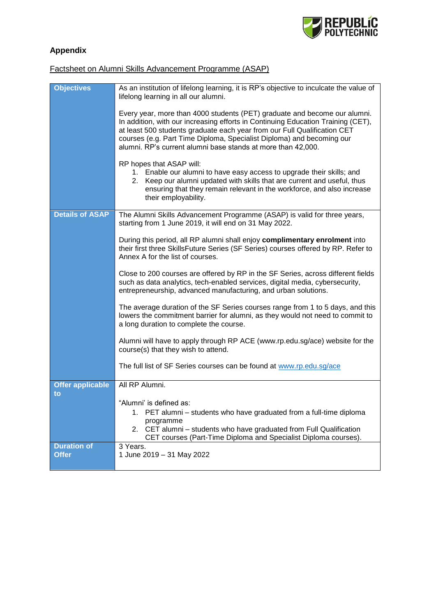

# **Appendix**

## Factsheet on Alumni Skills Advancement Programme (ASAP)

| <b>Objectives</b>                  | As an institution of lifelong learning, it is RP's objective to inculcate the value of<br>lifelong learning in all our alumni.                                                                                                                                                                                                                                                     |
|------------------------------------|------------------------------------------------------------------------------------------------------------------------------------------------------------------------------------------------------------------------------------------------------------------------------------------------------------------------------------------------------------------------------------|
|                                    | Every year, more than 4000 students (PET) graduate and become our alumni.<br>In addition, with our increasing efforts in Continuing Education Training (CET),<br>at least 500 students graduate each year from our Full Qualification CET<br>courses (e.g. Part Time Diploma, Specialist Diploma) and becoming our<br>alumni. RP's current alumni base stands at more than 42,000. |
|                                    | RP hopes that ASAP will:<br>1. Enable our alumni to have easy access to upgrade their skills; and<br>2. Keep our alumni updated with skills that are current and useful, thus<br>ensuring that they remain relevant in the workforce, and also increase<br>their employability.                                                                                                    |
| <b>Details of ASAP</b>             | The Alumni Skills Advancement Programme (ASAP) is valid for three years,<br>starting from 1 June 2019, it will end on 31 May 2022.                                                                                                                                                                                                                                                 |
|                                    | During this period, all RP alumni shall enjoy complimentary enrolment into<br>their first three SkillsFuture Series (SF Series) courses offered by RP. Refer to<br>Annex A for the list of courses.                                                                                                                                                                                |
|                                    | Close to 200 courses are offered by RP in the SF Series, across different fields<br>such as data analytics, tech-enabled services, digital media, cybersecurity,<br>entrepreneurship, advanced manufacturing, and urban solutions.                                                                                                                                                 |
|                                    | The average duration of the SF Series courses range from 1 to 5 days, and this<br>lowers the commitment barrier for alumni, as they would not need to commit to<br>a long duration to complete the course.                                                                                                                                                                         |
|                                    | Alumni will have to apply through RP ACE (www.rp.edu.sg/ace) website for the<br>course(s) that they wish to attend.                                                                                                                                                                                                                                                                |
|                                    | The full list of SF Series courses can be found at www.rp.edu.sg/ace                                                                                                                                                                                                                                                                                                               |
| <b>Offer applicable</b><br>to      | All RP Alumni.                                                                                                                                                                                                                                                                                                                                                                     |
|                                    | "Alumni' is defined as:                                                                                                                                                                                                                                                                                                                                                            |
|                                    | 1. PET alumni - students who have graduated from a full-time diploma<br>programme                                                                                                                                                                                                                                                                                                  |
|                                    | 2. CET alumni - students who have graduated from Full Qualification<br>CET courses (Part-Time Diploma and Specialist Diploma courses).                                                                                                                                                                                                                                             |
| <b>Duration of</b><br><b>Offer</b> | 3 Years.<br>1 June 2019 - 31 May 2022                                                                                                                                                                                                                                                                                                                                              |
|                                    |                                                                                                                                                                                                                                                                                                                                                                                    |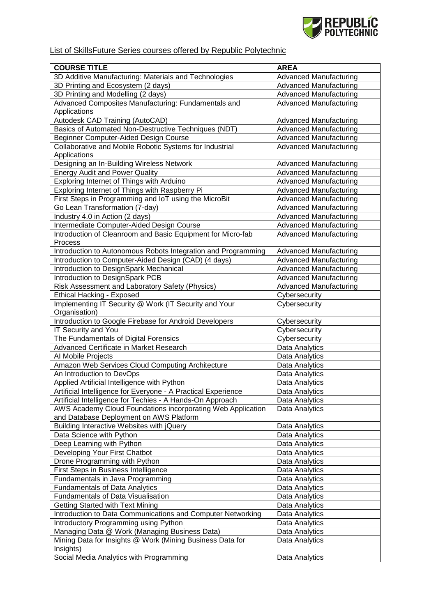

## List of SkillsFuture Series courses offered by Republic Polytechnic

| <b>COURSE TITLE</b>                                                                       | <b>AREA</b>                    |
|-------------------------------------------------------------------------------------------|--------------------------------|
| 3D Additive Manufacturing: Materials and Technologies                                     | <b>Advanced Manufacturing</b>  |
| 3D Printing and Ecosystem (2 days)                                                        | <b>Advanced Manufacturing</b>  |
| 3D Printing and Modelling (2 days)                                                        | <b>Advanced Manufacturing</b>  |
| Advanced Composites Manufacturing: Fundamentals and                                       | <b>Advanced Manufacturing</b>  |
| Applications                                                                              |                                |
| Autodesk CAD Training (AutoCAD)                                                           | <b>Advanced Manufacturing</b>  |
| Basics of Automated Non-Destructive Techniques (NDT)                                      | <b>Advanced Manufacturing</b>  |
| Beginner Computer-Aided Design Course                                                     | <b>Advanced Manufacturing</b>  |
| Collaborative and Mobile Robotic Systems for Industrial                                   | <b>Advanced Manufacturing</b>  |
| Applications                                                                              |                                |
| Designing an In-Building Wireless Network                                                 | <b>Advanced Manufacturing</b>  |
| <b>Energy Audit and Power Quality</b>                                                     | <b>Advanced Manufacturing</b>  |
| Exploring Internet of Things with Arduino                                                 | <b>Advanced Manufacturing</b>  |
| Exploring Internet of Things with Raspberry Pi                                            | <b>Advanced Manufacturing</b>  |
| First Steps in Programming and IoT using the MicroBit                                     | <b>Advanced Manufacturing</b>  |
| Go Lean Transformation (7-day)                                                            | <b>Advanced Manufacturing</b>  |
| Industry 4.0 in Action (2 days)                                                           | <b>Advanced Manufacturing</b>  |
| Intermediate Computer-Aided Design Course                                                 | <b>Advanced Manufacturing</b>  |
| Introduction of Cleanroom and Basic Equipment for Micro-fab                               | <b>Advanced Manufacturing</b>  |
| Process                                                                                   |                                |
| Introduction to Autonomous Robots Integration and Programming                             | <b>Advanced Manufacturing</b>  |
| Introduction to Computer-Aided Design (CAD) (4 days)                                      | <b>Advanced Manufacturing</b>  |
| Introduction to DesignSpark Mechanical                                                    | <b>Advanced Manufacturing</b>  |
| Introduction to DesignSpark PCB                                                           | <b>Advanced Manufacturing</b>  |
| Risk Assessment and Laboratory Safety (Physics)                                           | <b>Advanced Manufacturing</b>  |
| <b>Ethical Hacking - Exposed</b><br>Implementing IT Security @ Work (IT Security and Your | Cybersecurity<br>Cybersecurity |
| Organisation)                                                                             |                                |
| Introduction to Google Firebase for Android Developers                                    | Cybersecurity                  |
| IT Security and You                                                                       | Cybersecurity                  |
| The Fundamentals of Digital Forensics                                                     | Cybersecurity                  |
| Advanced Certificate in Market Research                                                   | Data Analytics                 |
| Al Mobile Projects                                                                        | Data Analytics                 |
| Amazon Web Services Cloud Computing Architecture                                          | Data Analytics                 |
| An Introduction to DevOps                                                                 | Data Analytics                 |
| Applied Artificial Intelligence with Python                                               | Data Analytics                 |
| Artificial Intelligence for Everyone - A Practical Experience                             | Data Analytics                 |
| Artificial Intelligence for Techies - A Hands-On Approach                                 | Data Analytics                 |
| AWS Academy Cloud Foundations incorporating Web Application                               | Data Analytics                 |
| and Database Deployment on AWS Platform                                                   |                                |
| Building Interactive Websites with jQuery                                                 | Data Analytics                 |
| Data Science with Python                                                                  | Data Analytics                 |
| Deep Learning with Python                                                                 | Data Analytics                 |
| Developing Your First Chatbot                                                             | Data Analytics                 |
| Drone Programming with Python                                                             | Data Analytics                 |
| First Steps in Business Intelligence                                                      | Data Analytics                 |
| Fundamentals in Java Programming                                                          | Data Analytics                 |
| <b>Fundamentals of Data Analytics</b>                                                     | Data Analytics                 |
| <b>Fundamentals of Data Visualisation</b>                                                 | Data Analytics                 |
| <b>Getting Started with Text Mining</b>                                                   | Data Analytics                 |
| Introduction to Data Communications and Computer Networking                               | Data Analytics                 |
| Introductory Programming using Python                                                     | Data Analytics                 |
| Managing Data @ Work (Managing Business Data)                                             | Data Analytics                 |
| Mining Data for Insights @ Work (Mining Business Data for                                 | Data Analytics                 |
| Insights)                                                                                 |                                |
| Social Media Analytics with Programming                                                   | Data Analytics                 |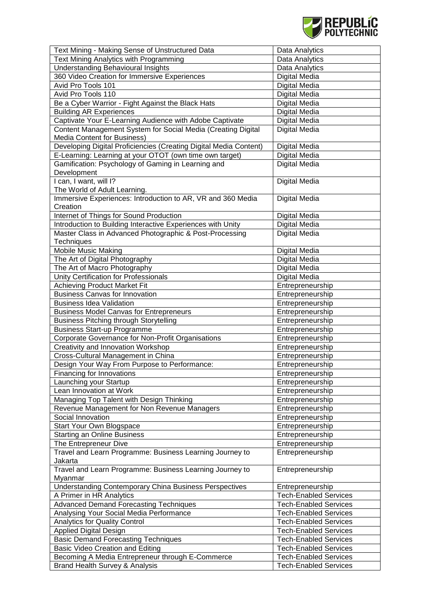

| Text Mining - Making Sense of Unstructured Data                   | Data Analytics               |
|-------------------------------------------------------------------|------------------------------|
| Text Mining Analytics with Programming                            | Data Analytics               |
| <b>Understanding Behavioural Insights</b>                         | Data Analytics               |
| 360 Video Creation for Immersive Experiences                      | Digital Media                |
| Avid Pro Tools 101                                                | Digital Media                |
| Avid Pro Tools 110                                                | Digital Media                |
| Be a Cyber Warrior - Fight Against the Black Hats                 | Digital Media                |
| <b>Building AR Experiences</b>                                    | Digital Media                |
| Captivate Your E-Learning Audience with Adobe Captivate           | Digital Media                |
| Content Management System for Social Media (Creating Digital      |                              |
|                                                                   | Digital Media                |
| Media Content for Business)                                       |                              |
| Developing Digital Proficiencies (Creating Digital Media Content) | Digital Media                |
| E-Learning: Learning at your OTOT (own time own target)           | Digital Media                |
| Gamification: Psychology of Gaming in Learning and                | Digital Media                |
| Development                                                       |                              |
| I can, I want, will I?                                            | Digital Media                |
| The World of Adult Learning.                                      |                              |
| Immersive Experiences: Introduction to AR, VR and 360 Media       | Digital Media                |
| Creation                                                          |                              |
| Internet of Things for Sound Production                           | Digital Media                |
| Introduction to Building Interactive Experiences with Unity       | Digital Media                |
| Master Class in Advanced Photographic & Post-Processing           | <b>Digital Media</b>         |
| Techniques                                                        |                              |
| <b>Mobile Music Making</b>                                        | Digital Media                |
| The Art of Digital Photography                                    | Digital Media                |
| The Art of Macro Photography                                      | Digital Media                |
| Unity Certification for Professionals                             | Digital Media                |
| <b>Achieving Product Market Fit</b>                               | Entrepreneurship             |
| <b>Business Canvas for Innovation</b>                             | Entrepreneurship             |
| <b>Business Idea Validation</b>                                   | Entrepreneurship             |
| <b>Business Model Canvas for Entrepreneurs</b>                    | Entrepreneurship             |
| <b>Business Pitching through Storytelling</b>                     | Entrepreneurship             |
| <b>Business Start-up Programme</b>                                | Entrepreneurship             |
| Corporate Governance for Non-Profit Organisations                 | Entrepreneurship             |
| Creativity and Innovation Workshop                                | Entrepreneurship             |
| Cross-Cultural Management in China                                | Entrepreneurship             |
| Design Your Way From Purpose to Performance:                      | Entrepreneurship             |
| Financing for Innovations                                         | Entrepreneurship             |
|                                                                   |                              |
| Launching your Startup                                            | Entrepreneurship             |
| Lean Innovation at Work                                           | Entrepreneurship             |
| Managing Top Talent with Design Thinking                          | Entrepreneurship             |
| Revenue Management for Non Revenue Managers                       | Entrepreneurship             |
| Social Innovation                                                 | Entrepreneurship             |
| Start Your Own Blogspace                                          | Entrepreneurship             |
| <b>Starting an Online Business</b>                                | Entrepreneurship             |
| The Entrepreneur Dive                                             | Entrepreneurship             |
| Travel and Learn Programme: Business Learning Journey to          | Entrepreneurship             |
| Jakarta                                                           |                              |
| Travel and Learn Programme: Business Learning Journey to          | Entrepreneurship             |
| Myanmar                                                           |                              |
| <b>Understanding Contemporary China Business Perspectives</b>     | Entrepreneurship             |
| A Primer in HR Analytics                                          | <b>Tech-Enabled Services</b> |
| <b>Advanced Demand Forecasting Techniques</b>                     | <b>Tech-Enabled Services</b> |
| Analysing Your Social Media Performance                           | <b>Tech-Enabled Services</b> |
| Analytics for Quality Control                                     | <b>Tech-Enabled Services</b> |
| <b>Applied Digital Design</b>                                     | <b>Tech-Enabled Services</b> |
| <b>Basic Demand Forecasting Techniques</b>                        | <b>Tech-Enabled Services</b> |
| Basic Video Creation and Editing                                  | <b>Tech-Enabled Services</b> |
| Becoming A Media Entrepreneur through E-Commerce                  | <b>Tech-Enabled Services</b> |
|                                                                   | <b>Tech-Enabled Services</b> |
| Brand Health Survey & Analysis                                    |                              |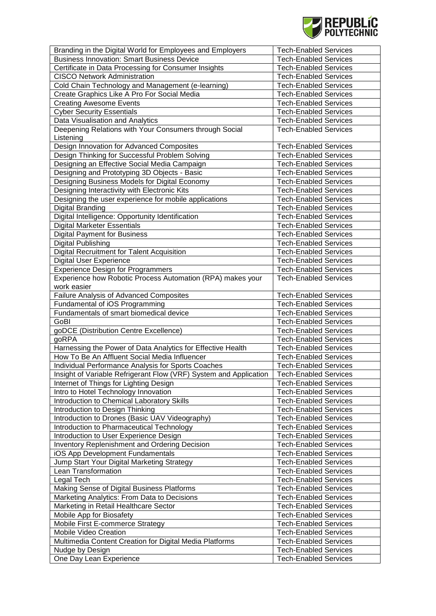

| Branding in the Digital World for Employees and Employers                                                    | <b>Tech-Enabled Services</b> |
|--------------------------------------------------------------------------------------------------------------|------------------------------|
| <b>Business Innovation: Smart Business Device</b>                                                            | <b>Tech-Enabled Services</b> |
| Certificate in Data Processing for Consumer Insights                                                         | <b>Tech-Enabled Services</b> |
| <b>CISCO Network Administration</b>                                                                          | <b>Tech-Enabled Services</b> |
| Cold Chain Technology and Management (e-learning)                                                            | <b>Tech-Enabled Services</b> |
| Create Graphics Like A Pro For Social Media                                                                  | <b>Tech-Enabled Services</b> |
| <b>Creating Awesome Events</b>                                                                               | <b>Tech-Enabled Services</b> |
| <b>Cyber Security Essentials</b>                                                                             | <b>Tech-Enabled Services</b> |
| Data Visualisation and Analytics                                                                             | <b>Tech-Enabled Services</b> |
| Deepening Relations with Your Consumers through Social                                                       | <b>Tech-Enabled Services</b> |
| Listening                                                                                                    |                              |
| Design Innovation for Advanced Composites                                                                    | <b>Tech-Enabled Services</b> |
| Design Thinking for Successful Problem Solving                                                               | <b>Tech-Enabled Services</b> |
| Designing an Effective Social Media Campaign                                                                 | <b>Tech-Enabled Services</b> |
| Designing and Prototyping 3D Objects - Basic                                                                 | <b>Tech-Enabled Services</b> |
|                                                                                                              |                              |
| Designing Business Models for Digital Economy                                                                | <b>Tech-Enabled Services</b> |
| Designing Interactivity with Electronic Kits                                                                 | <b>Tech-Enabled Services</b> |
| Designing the user experience for mobile applications                                                        | <b>Tech-Enabled Services</b> |
| Digital Branding                                                                                             | <b>Tech-Enabled Services</b> |
| Digital Intelligence: Opportunity Identification                                                             | <b>Tech-Enabled Services</b> |
| <b>Digital Marketer Essentials</b>                                                                           | <b>Tech-Enabled Services</b> |
| <b>Digital Payment for Business</b>                                                                          | <b>Tech-Enabled Services</b> |
| Digital Publishing                                                                                           | <b>Tech-Enabled Services</b> |
| <b>Digital Recruitment for Talent Acquisition</b>                                                            | <b>Tech-Enabled Services</b> |
| <b>Digital User Experience</b>                                                                               | <b>Tech-Enabled Services</b> |
| <b>Experience Design for Programmers</b>                                                                     | <b>Tech-Enabled Services</b> |
| Experience how Robotic Process Automation (RPA) makes your<br>work easier                                    | <b>Tech-Enabled Services</b> |
| Failure Analysis of Advanced Composites                                                                      | <b>Tech-Enabled Services</b> |
| Fundamental of iOS Programming                                                                               | <b>Tech-Enabled Services</b> |
| Fundamentals of smart biomedical device                                                                      | <b>Tech-Enabled Services</b> |
| GoBI                                                                                                         | <b>Tech-Enabled Services</b> |
|                                                                                                              |                              |
| goDCE (Distribution Centre Excellence)                                                                       | <b>Tech-Enabled Services</b> |
| goRPA                                                                                                        | <b>Tech-Enabled Services</b> |
| Harnessing the Power of Data Analytics for Effective Health<br>How To Be An Affluent Social Media Influencer | <b>Tech-Enabled Services</b> |
|                                                                                                              | <b>Tech-Enabled Services</b> |
| Individual Performance Analysis for Sports Coaches                                                           | <b>Tech-Enabled Services</b> |
| Insight of Variable Refrigerant Flow (VRF) System and Application                                            | <b>Tech-Enabled Services</b> |
| Internet of Things for Lighting Design                                                                       | <b>Tech-Enabled Services</b> |
| Intro to Hotel Technology Innovation                                                                         | <b>Tech-Enabled Services</b> |
| Introduction to Chemical Laboratory Skills                                                                   | <b>Tech-Enabled Services</b> |
| Introduction to Design Thinking                                                                              | <b>Tech-Enabled Services</b> |
| Introduction to Drones (Basic UAV Videography)                                                               | <b>Tech-Enabled Services</b> |
| Introduction to Pharmaceutical Technology                                                                    | <b>Tech-Enabled Services</b> |
| Introduction to User Experience Design                                                                       | <b>Tech-Enabled Services</b> |
| <b>Inventory Replenishment and Ordering Decision</b>                                                         | <b>Tech-Enabled Services</b> |
| iOS App Development Fundamentals                                                                             | <b>Tech-Enabled Services</b> |
| Jump Start Your Digital Marketing Strategy                                                                   | <b>Tech-Enabled Services</b> |
| Lean Transformation                                                                                          | <b>Tech-Enabled Services</b> |
| Legal Tech                                                                                                   | <b>Tech-Enabled Services</b> |
| Making Sense of Digital Business Platforms                                                                   | <b>Tech-Enabled Services</b> |
| Marketing Analytics: From Data to Decisions                                                                  | <b>Tech-Enabled Services</b> |
| Marketing in Retail Healthcare Sector                                                                        | <b>Tech-Enabled Services</b> |
| Mobile App for Biosafety                                                                                     | <b>Tech-Enabled Services</b> |
| Mobile First E-commerce Strategy                                                                             | <b>Tech-Enabled Services</b> |
| Mobile Video Creation                                                                                        | <b>Tech-Enabled Services</b> |
| Multimedia Content Creation for Digital Media Platforms                                                      | <b>Tech-Enabled Services</b> |
| Nudge by Design                                                                                              | <b>Tech-Enabled Services</b> |
| One Day Lean Experience                                                                                      | <b>Tech-Enabled Services</b> |
|                                                                                                              |                              |